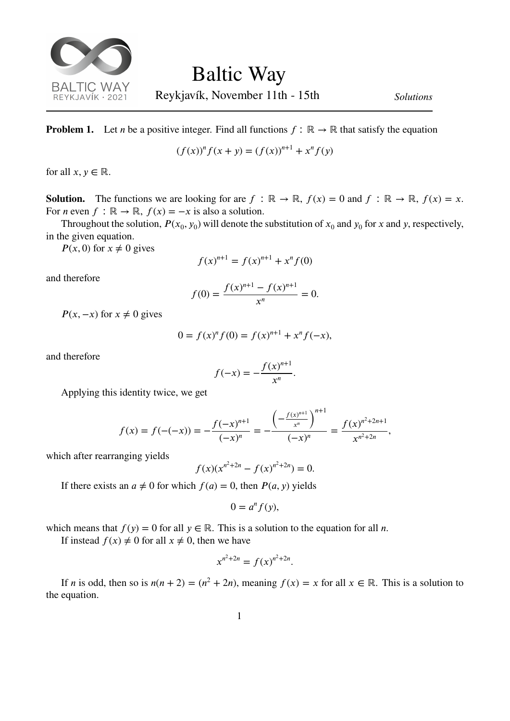

Reykjavík, November 11th - 15th *Solutions*

*,*

**Problem 1.** Let *n* be a positive integer. Find all functions  $f : \mathbb{R} \to \mathbb{R}$  that satisfy the equation

$$
(f(x))^{n} f(x + y) = (f(x))^{n+1} + x^{n} f(y)
$$

for all  $x, y \in \mathbb{R}$ .

**Solution.** The functions we are looking for are  $f : \mathbb{R} \to \mathbb{R}$ ,  $f(x) = 0$  and  $f : \mathbb{R} \to \mathbb{R}$ ,  $f(x) = x$ . For *n* even  $f : \mathbb{R} \to \mathbb{R}$ ,  $f(x) = -x$  is also a solution.

Throughout the solution,  $P(x_0, y_0)$  will denote the substitution of  $x_0$  and  $y_0$  for x and y, respectively, in the given equation.

 $P(x, 0)$  for  $x \neq 0$  gives

$$
f(x)^{n+1} = f(x)^{n+1} + x^n f(0)
$$

and therefore

$$
f(0) = \frac{f(x)^{n+1} - f(x)^{n+1}}{x^n} = 0.
$$

 $P(x, -x)$  for  $x \neq 0$  gives

$$
0 = f(x)^n f(0) = f(x)^{n+1} + x^n f(-x),
$$

and therefore

$$
f(-x) = -\frac{f(x)^{n+1}}{x^n}.
$$

Applying this identity twice, we get

$$
f(x) = f(-(-x)) = -\frac{f(-x)^{n+1}}{(-x)^n} = -\frac{\left(-\frac{f(x)^{n+1}}{x^n}\right)^{n+1}}{(-x)^n} = \frac{f(x)^{n^2+2n+1}}{x^{n^2+2n}}
$$

which after rearranging yields

$$
f(x)(x^{n^2+2n} - f(x)^{n^2+2n}) = 0.
$$

If there exists an  $a \neq 0$  for which  $f(a) = 0$ , then  $P(a, y)$  yields

$$
0=a^n f(y),
$$

which means that  $f(y) = 0$  for all  $y \in \mathbb{R}$ . This is a solution to the equation for all *n*.

If instead  $f(x) \neq 0$  for all  $x \neq 0$ , then we have

$$
x^{n^2+2n} = f(x)^{n^2+2n}.
$$

If *n* is odd, then so is  $n(n + 2) = (n^2 + 2n)$ , meaning  $f(x) = x$  for all  $x \in \mathbb{R}$ . This is a solution to the equation.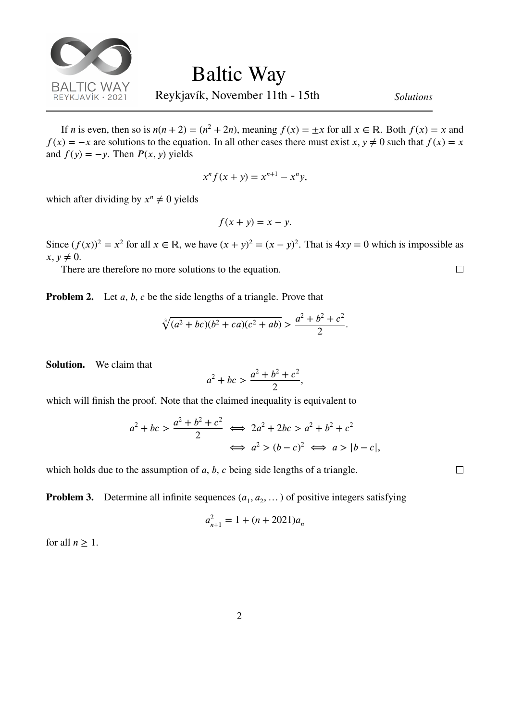

If *n* is even, then so is  $n(n + 2) = (n^2 + 2n)$ , meaning  $f(x) = \pm x$  for all  $x \in \mathbb{R}$ . Both  $f(x) = x$  and  $f(x) = -x$  are solutions to the equation. In all other cases there must exist *x*,  $y \neq 0$  such that  $f(x) = x$ and  $f(y) = -y$ . Then  $P(x, y)$  yields

$$
x^n f(x + y) = x^{n+1} - x^n y,
$$

which after dividing by  $x^n \neq 0$  yields

$$
f(x + y) = x - y.
$$

Since  $(f(x))^2 = x^2$  for all  $x \in \mathbb{R}$ , we have  $(x + y)^2 = (x - y)^2$ . That is  $4xy = 0$  which is impossible as  $x, y \neq 0.$ 

There are therefore no more solutions to the equation.

**Problem 2.** Let  $a, b, c$  be the side lengths of a triangle. Prove that

$$
\sqrt[3]{(a^2+bc)(b^2+ca)(c^2+ab)} > \frac{a^2+b^2+c^2}{2}.
$$

**Solution.** We claim that

$$
a^2 + bc > \frac{a^2 + b^2 + c^2}{2},
$$

which will finish the proof. Note that the claimed inequality is equivalent to

$$
a2 + bc > \frac{a2 + b2 + c2}{2} \iff 2a2 + 2bc > a2 + b2 + c2
$$

$$
\iff a2 > (b - c)2 \iff a > |b - c|,
$$

which holds due to the assumption of  $a, b, c$  being side lengths of a triangle.

**Problem 3.** Determine all infinite sequences  $(a_1, a_2, \dots)$  of positive integers satisfying

$$
a_{n+1}^2 = 1 + (n + 2021)a_n
$$

for all  $n \geq 1$ .

 $\Box$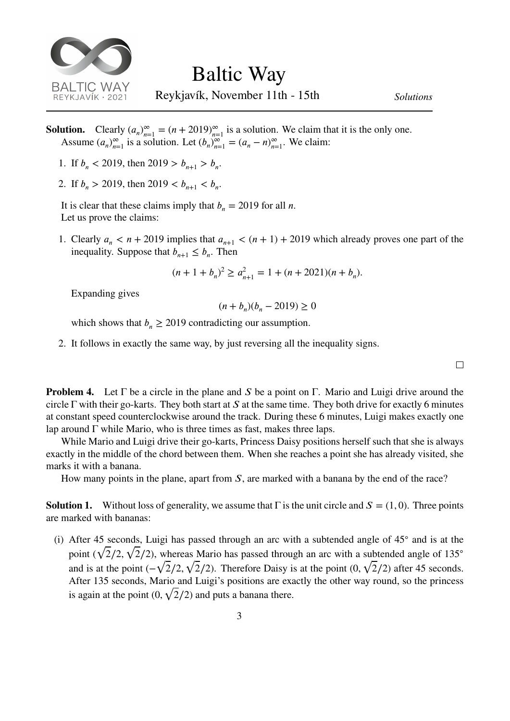

Reykjavík, November 11th - 15th *Solutions*

**Solution.** Clearly  $(a_n)_{n=1}^{\infty} = (n + 2019)_{n=1}^{\infty}$  is a solution. We claim that it is the only one. Assume  $(a_n)_{n=1}^{\infty}$  is a solution. Let  $(b_n)_{n=1}^{\infty} = (a_n - n)_{n=1}^{\infty}$ . We claim:

- 1. If  $b_n < 2019$ , then  $2019 > b_{n+1} > b_n$ .
- 2. If  $b_n > 2019$ , then  $2019 < b_{n+1} < b_n$ .

It is clear that these claims imply that  $b_n = 2019$  for all *n*. Let us prove the claims:

1. Clearly  $a_n < n + 2019$  implies that  $a_{n+1} < (n+1) + 2019$  which already proves one part of the inequality. Suppose that  $b_{n+1} \leq b_n$ . Then

$$
(n+1+b_n)^2 \ge a_{n+1}^2 = 1 + (n+2021)(n+b_n).
$$

Expanding gives

$$
(n+b_n)(b_n-2019)\geq 0
$$

which shows that  $b_n \ge 2019$  contradicting our assumption.

2. It follows in exactly the same way, by just reversing all the inequality signs.

 $\Box$ 

**Problem 4.** Let  $\Gamma$  be a circle in the plane and S be a point on  $\Gamma$ . Mario and Luigi drive around the circle  $\Gamma$  with their go-karts. They both start at S at the same time. They both drive for exactly 6 minutes at constant speed counterclockwise around the track. During these 6 minutes, Luigi makes exactly one lap around  $\Gamma$  while Mario, who is three times as fast, makes three laps.

While Mario and Luigi drive their go-karts, Princess Daisy positions herself such that she is always exactly in the middle of the chord between them. When she reaches a point she has already visited, she marks it with a banana.

How many points in the plane, apart from  $S$ , are marked with a banana by the end of the race?

**Solution 1.** Without loss of generality, we assume that  $\Gamma$  is the unit circle and  $S = (1, 0)$ . Three points are marked with bananas:

(i) After 45 seconds, Luigi has passed through an arc with a subtended angle of 45◦ and is at the point ( √ 2∕2*,* µu  $2/2$ ), whereas Mario has passed through an arc with a subtended angle of 135 $^{\circ}$ and is at the point  $(-\sqrt{2}/2)$ , √ 2∕2). Therefore Daisy is at the point (0*,* √ 2∕2) after 45 seconds. After 135 seconds, Mario and Luigi's positions are exactly the other way round, so the princess is again at the point (0*,* √ 2∕2) and puts a banana there.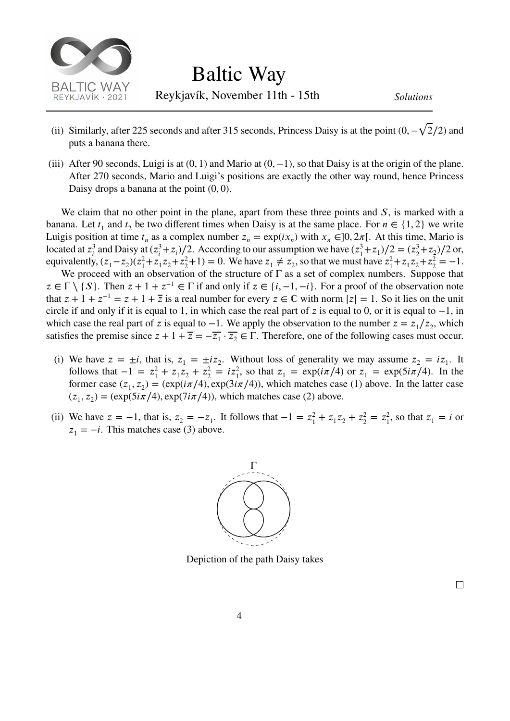

- (ii) Similarly, after 225 seconds and after 315 seconds, Princess Daisy is at the point (0*,*− √ 2∕2) and puts a banana there.
- (iii) After 90 seconds, Luigi is at (0*,* 1) and Mario at (0*,*−1), so that Daisy is at the origin of the plane. After 270 seconds, Mario and Luigi's positions are exactly the other way round, hence Princess Daisy drops a banana at the point (0*,* 0).

We claim that no other point in the plane, apart from these three points and  $S$ , is marked with a banana. Let  $t_1$  and  $t_2$  be two different times when Daisy is at the same place. For  $n \in \{1, 2\}$  we write Luigis position at time  $t_n$  as a complex number  $z_n = \exp(ix_n)$  with  $x_n \in ]0, 2\pi[$ . At this time, Mario is located at  $z_i^3$  $a_i^3$  and Daisy at  $(z_i^3)$  $(\frac{3}{i} + z_i)/2$ . According to our assumption we have  $(z_1^3)$  $(z_1^3 + z_1)/2 = (z_2^3)$  $^{3}_{2}$  + z<sub>2</sub>)/2 or, equivalently,  $(z_1 - z_2)(z_1^2)$  $x_1^2 + z_1 z_2 + z_2^2$  $(z_2^2+1)=0$ . We have  $z_1 \neq z_2$ , so that we must have  $z_1^2$  $z_1^2 + z_1 z_2 + z_2^2$  $n_2^2 = -1.$ 

We proceed with an observation of the structure of  $\Gamma$  as a set of complex numbers. Suppose that  $z \in \Gamma \setminus \{S\}$ . Then  $z + 1 + z^{-1} \in \Gamma$  if and only if  $z \in \{i, -1, -i\}$ . For a proof of the observation note that  $z + 1 + z^{-1} = z + 1 + \overline{z}$  is a real number for every  $z \in \mathbb{C}$  with norm  $|z| = 1$ . So it lies on the unit circle if and only if it is equal to 1, in which case the real part of z is equal to 0, or it is equal to  $-1$ , in which case the real part of z is equal to  $-1$ . We apply the observation to the number  $z = z_1/z_2$ , which satisfies the premise since  $z + 1 + \overline{z} = -\overline{z_1} \cdot \overline{z_2} \in \Gamma$ . Therefore, one of the following cases must occur.

- (i) We have  $z = \pm i$ , that is,  $z_1 = \pm i z_2$ . Without loss of generality we may assume  $z_2 = i z_1$ . It follows that  $-1 = z_1^2$  $x_1^2 + z_1 z_2 + z_2^2$  $z_2^2 = iz_1^2$ , so that  $z_1 = \exp(i\pi/4)$  or  $z_1 = \exp(5i\pi/4)$ . In the former case  $(z_1, z_2) = (\exp(i\pi/4), \exp(3i\pi/4))$ , which matches case (1) above. In the latter case  $(z_1, z_2) = (\exp(5i\pi/4), \exp(7i\pi/4))$ , which matches case (2) above.
- (ii) We have  $z = -1$ , that is,  $z_2 = -z_1$ . It follows that  $-1 = z_1^2$  $_1^2$  +  $z_1z_2$  +  $z_2^2$  $z_2^2 = z_1^2$  $z_1^2$ , so that  $z_1 = i$  or  $z_1 = -i$ . This matches case (3) above.



Depiction of the path Daisy takes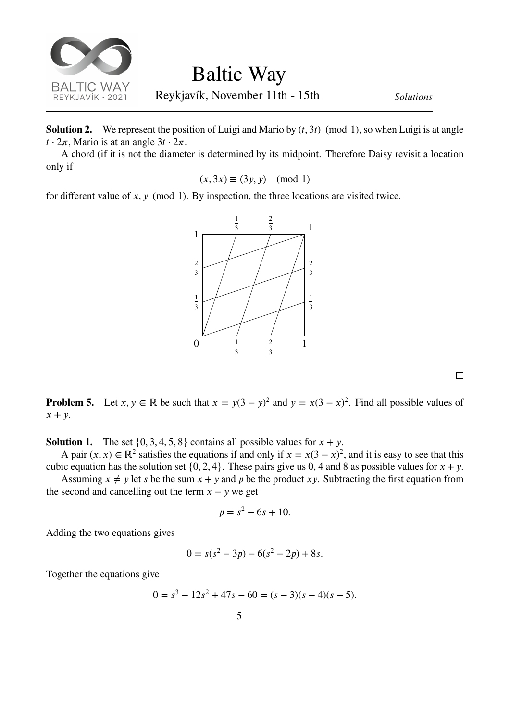

**Solution 2.** We represent the position of Luigi and Mario by  $(t, 3t)$  (mod 1), so when Luigi is at angle  $t \cdot 2\pi$ , Mario is at an angle  $3t \cdot 2\pi$ .

A chord (if it is not the diameter is determined by its midpoint. Therefore Daisy revisit a location only if

$$
(x, 3x) \equiv (3y, y) \pmod{1}
$$

for different value of  $x, y \pmod{1}$ . By inspection, the three locations are visited twice.



 $\Box$ 

**Problem 5.** Let  $x, y \in \mathbb{R}$  be such that  $x = y(3 - y)^2$  and  $y = x(3 - x)^2$ . Find all possible values of  $x + y$ .

**Solution 1.** The set  $\{0, 3, 4, 5, 8\}$  contains all possible values for  $x + y$ .

A pair  $(x, x) \in \mathbb{R}^2$  satisfies the equations if and only if  $x = x(3 - x)^2$ , and it is easy to see that this cubic equation has the solution set  $\{0, 2, 4\}$ . These pairs give us 0, 4 and 8 as possible values for  $x + y$ .

Assuming  $x \neq y$  let s be the sum  $x + y$  and p be the product xy. Subtracting the first equation from the second and cancelling out the term  $x - y$  we get

$$
p = s^2 - 6s + 10.
$$

Adding the two equations gives

 $0 = s(s^2 - 3p) - 6(s^2 - 2p) + 8s.$ 

Together the equations give

$$
0 = s3 - 12s2 + 47s - 60 = (s - 3)(s - 4)(s - 5).
$$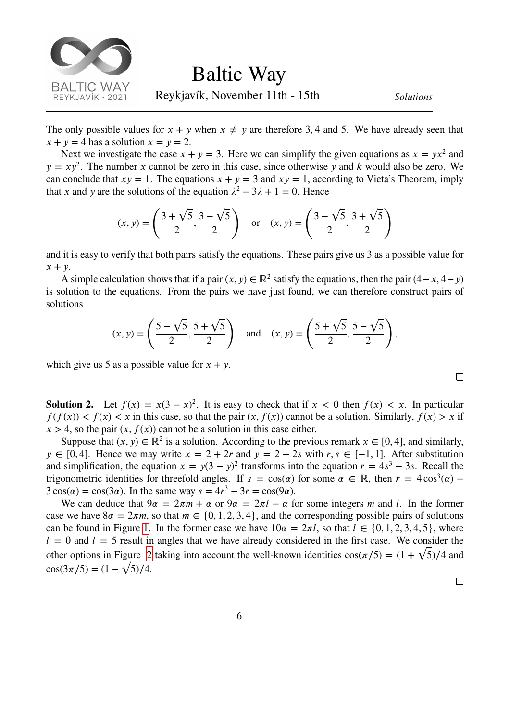

The only possible values for  $x + y$  when  $x \neq y$  are therefore 3,4 and 5. We have already seen that  $x + y = 4$  has a solution  $x = y = 2$ .

Next we investigate the case  $x + y = 3$ . Here we can simplify the given equations as  $x = yx^2$  and  $y = xy^2$ . The number x cannot be zero in this case, since otherwise y and k would also be zero. We can conclude that  $xy = 1$ . The equations  $x + y = 3$  and  $xy = 1$ , according to Vieta's Theorem, imply that x and y are the solutions of the equation  $\lambda^2 - 3\lambda + 1 = 0$ . Hence

$$
(x, y) = \left(\frac{3 + \sqrt{5}}{2}, \frac{3 - \sqrt{5}}{2}\right)
$$
 or  $(x, y) = \left(\frac{3 - \sqrt{5}}{2}, \frac{3 + \sqrt{5}}{2}\right)$ 

and it is easy to verify that both pairs satisfy the equations. These pairs give us 3 as a possible value for  $x + y$ .

A simple calculation shows that if a pair  $(x, y) \in \mathbb{R}^2$  satisfy the equations, then the pair  $(4 - x, 4 - y)$ is solution to the equations. From the pairs we have just found, we can therefore construct pairs of solutions

$$
(x, y) = \left(\frac{5 - \sqrt{5}}{2}, \frac{5 + \sqrt{5}}{2}\right)
$$
 and  $(x, y) = \left(\frac{5 + \sqrt{5}}{2}, \frac{5 - \sqrt{5}}{2}\right)$ ,

which give us 5 as a possible value for  $x + y$ .

**Solution 2.** Let  $f(x) = x(3 - x)^2$ . It is easy to check that if  $x < 0$  then  $f(x) < x$ . In particular  $f(f(x)) < f(x) < x$  in this case, so that the pair  $(x, f(x))$  cannot be a solution. Similarly,  $f(x) > x$  if  $x > 4$ , so the pair  $(x, f(x))$  cannot be a solution in this case either.

Suppose that  $(x, y) \in \mathbb{R}^2$  is a solution. According to the previous remark  $x \in [0, 4]$ , and similarly,  $y \in [0, 4]$ . Hence we may write  $x = 2 + 2r$  and  $y = 2 + 2s$  with  $r, s \in [-1, 1]$ . After substitution and simplification, the equation  $x = y(3 - y)^2$  transforms into the equation  $r = 4s^3 - 3s$ . Recall the trigonometric identities for threefold angles. If  $s = cos(\alpha)$  for some  $\alpha \in \mathbb{R}$ , then  $r = 4 cos^3(\alpha)$  –  $3\cos(\alpha) = \cos(3\alpha)$ . In the same way  $s = 4r^3 - 3r = \cos(9\alpha)$ .

We can deduce that  $9\alpha = 2\pi m + \alpha$  or  $9\alpha = 2\pi l - \alpha$  for some integers m and l. In the former case we have  $8\alpha = 2\pi m$ , so that  $m \in \{0, 1, 2, 3, 4\}$ , and the corresponding possible pairs of solutions can be found in Figure [1.](#page-6-0) In the former case we have  $10\alpha = 2\pi l$ , so that  $l \in \{0, 1, 2, 3, 4, 5\}$ , where  $l = 0$  and  $l = 5$  result in angles that we have already considered in the first case. We consider the other options in Figure [2](#page-6-1) taking into account the well-known identities  $cos(\pi/5) = (1 + \sqrt{5})/4$  and cos(3 $\pi/5$ ) = (1 –  $\sqrt{5}/4$ .

 $\Box$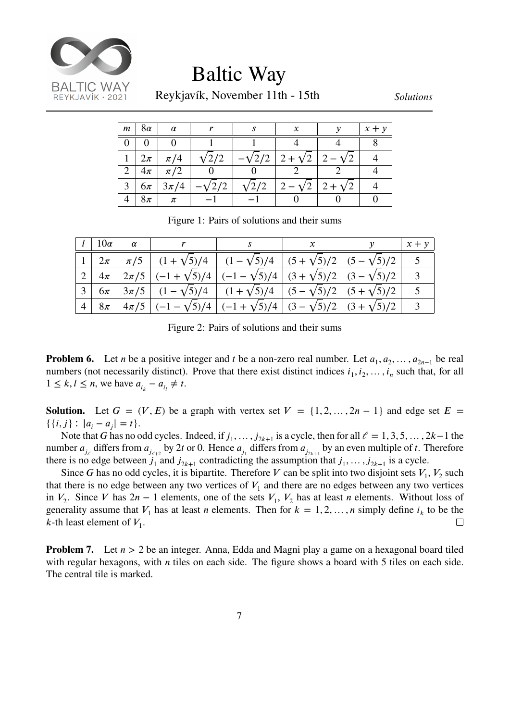

Baltic Way

Reykjavík, November 11th - 15th *Solutions*

<span id="page-6-0"></span>

| $\pm m^{+}$    | $+8\alpha$ | $\alpha$          |               |              | x                                               | $x + y$ |
|----------------|------------|-------------------|---------------|--------------|-------------------------------------------------|---------|
|                |            |                   |               |              |                                                 |         |
| 1 <sup>1</sup> | $2\pi$     | $\pi/4$           | $\sqrt{2/2}$  |              | $-\sqrt{2}/2$   2 + $\sqrt{2}$   2 - $\sqrt{2}$ |         |
| 2              | $+4\pi$    | $\pi/2$           |               |              |                                                 |         |
| 3              |            | $6\pi$   $3\pi/4$ | $-\sqrt{2}/2$ | $\sqrt{2/2}$ | $ 2-\sqrt{2} 2+\sqrt{2} $                       |         |
|                | $8\pi$     | $\pi$             |               |              |                                                 |         |

Figure 1: Pairs of solutions and their sums

<span id="page-6-1"></span>

|  | $l \mid 10\alpha \mid \alpha \mid r \mid s \mid x \mid y \mid x+y$                                                     |  |  |
|--|------------------------------------------------------------------------------------------------------------------------|--|--|
|  | $1 \mid 2\pi \mid \pi/5 \mid (1+\sqrt{5})/4 \mid (1-\sqrt{5})/4 \mid (5+\sqrt{5})/2 \mid (5-\sqrt{5})/2 \mid$          |  |  |
|  | $2   4\pi   2\pi/5   (-1+\sqrt{5})/4   (-1-\sqrt{5})/4   (3+\sqrt{5})/2   (3-\sqrt{5})/2  $                            |  |  |
|  | $\left[ 6\pi \left[ 3\pi/5 \right] (1-\sqrt{5})/4 \right] (1+\sqrt{5})/4 \left[ (5-\sqrt{5})/2 \right] (5+\sqrt{5})/2$ |  |  |
|  | $4   8\pi   4\pi/5   (-1-\sqrt{5})/4   (-1+\sqrt{5})/4   (3-\sqrt{5})/2   (3+\sqrt{5})/2  $                            |  |  |

Figure 2: Pairs of solutions and their sums

**Problem 6.** Let *n* be a positive integer and *t* be a non-zero real number. Let  $a_1, a_2, ..., a_{2n-1}$  be real numbers (not necessarily distinct). Prove that there exist distinct indices  $i_1, i_2, \ldots, i_n$  such that, for all  $1 \leq k, l \leq n$ , we have  $a_{i_k} - a_{i_l} \neq t$ .

**Solution.** Let  $G = (V, E)$  be a graph with vertex set  $V = \{1, 2, ..., 2n - 1\}$  and edge set  $E =$  $\{ \{i, j\} : |a_i - a_j| = t \}.$ 

Note that G has no odd cycles. Indeed, if  $j_1, \ldots, j_{2k+1}$  is a cycle, then for all  $\ell = 1, 3, 5, \ldots, 2k-1$  the number  $a_{j_e}$  differs from  $a_{j_{e+2}}$  by 2t or 0. Hence  $a_{j_1}$  differs from  $a_{j_{2k+1}}$  by an even multiple of t. Therefore there is no edge between  $j_1$  and  $j_{2k+1}$  contradicting the assumption that  $j_1, \ldots, j_{2k+1}$  is a cycle.

Since G has no odd cycles, it is bipartite. Therefore V can be split into two disjoint sets  $V_1$ ,  $V_2$  such that there is no edge between any two vertices of  $V_1$  and there are no edges between any two vertices in  $V_2$ . Since V has  $2n - 1$  elements, one of the sets  $V_1$ ,  $V_2$  has at least *n* elements. Without loss of generality assume that  $V_1$  has at least *n* elements. Then for  $k = 1, 2, ..., n$  simply define  $i_k$  to be the *k*-th least element of  $V_1$ . П

**Problem 7.** Let  $n > 2$  be an integer. Anna, Edda and Magni play a game on a hexagonal board tiled with regular hexagons, with  $n$  tiles on each side. The figure shows a board with 5 tiles on each side. The central tile is marked.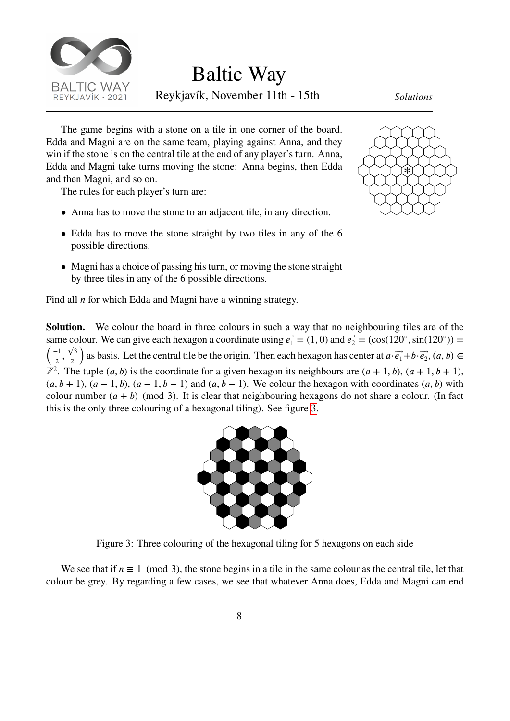

Baltic Way

Reykjavík, November 11th - 15th *Solutions*

The game begins with a stone on a tile in one corner of the board. Edda and Magni are on the same team, playing against Anna, and they win if the stone is on the central tile at the end of any player's turn. Anna, Edda and Magni take turns moving the stone: Anna begins, then Edda and then Magni, and so on.

The rules for each player's turn are:

- Anna has to move the stone to an adjacent tile, in any direction.
- Edda has to move the stone straight by two tiles in any of the 6 possible directions.
- Magni has a choice of passing his turn, or moving the stone straight by three tiles in any of the 6 possible directions.



Find all  $n$  for which Edda and Magni have a winning strategy.

<span id="page-7-0"></span>**Solution.** We colour the board in three colours in such a way that no neighbouring tiles are of the same colour. We can give each hexagon a coordinate using  $\vec{e_1} = (1, 0)$  and  $\vec{e_2} = (\cos(120^\circ, \sin(120^\circ)) =$ ( −1  $\frac{1}{2}$ ,  $\sqrt{3}$ 2 ı<br>\ as basis. Let the central tile be the origin. Then each hexagon has center at  $a \cdot \vec{e_1} + b \cdot \vec{e_2}$ ,  $(a, b) \in$  $\mathbb{Z}^2$ . The tuple  $(a, b)$  is the coordinate for a given hexagon its neighbours are  $(a + 1, b)$ ,  $(a + 1, b + 1)$ ,  $(a, b + 1)$ ,  $(a - 1, b)$ ,  $(a - 1, b - 1)$  and  $(a, b - 1)$ . We colour the hexagon with coordinates  $(a, b)$  with colour number  $(a + b)$  (mod 3). It is clear that neighbouring hexagons do not share a colour. (In fact this is the only three colouring of a hexagonal tiling). See figure [3](#page-7-0).



Figure 3: Three colouring of the hexagonal tiling for 5 hexagons on each side

We see that if  $n \equiv 1 \pmod{3}$ , the stone begins in a tile in the same colour as the central tile, let that colour be grey. By regarding a few cases, we see that whatever Anna does, Edda and Magni can end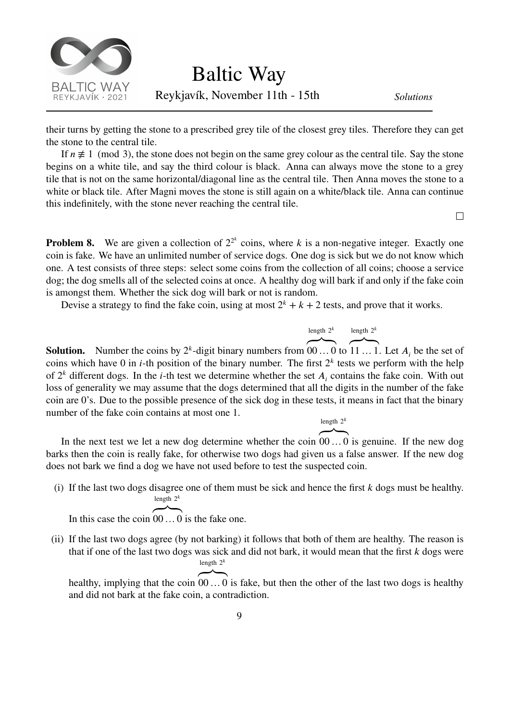

their turns by getting the stone to a prescribed grey tile of the closest grey tiles. Therefore they can get the stone to the central tile.

If  $n \neq 1 \pmod{3}$ , the stone does not begin on the same grey colour as the central tile. Say the stone begins on a white tile, and say the third colour is black. Anna can always move the stone to a grey tile that is not on the same horizontal/diagonal line as the central tile. Then Anna moves the stone to a white or black tile. After Magni moves the stone is still again on a white/black tile. Anna can continue this indefinitely, with the stone never reaching the central tile.

 $\Box$ 

**Problem 8.** We are given a collection of  $2^{2^k}$  coins, where k is a non-negative integer. Exactly one coin is fake. We have an unlimited number of service dogs. One dog is sick but we do not know which one. A test consists of three steps: select some coins from the collection of all coins; choose a service dog; the dog smells all of the selected coins at once. A healthy dog will bark if and only if the fake coin is amongst them. Whether the sick dog will bark or not is random.

Devise a strategy to find the fake coin, using at most  $2^k + k + 2$  tests, and prove that it works.

$$
\overbrace{\qquad \qquad }^{\text{length } 2^k}
$$

**ے** ت

**Solution.** Number the coins by  $2<sup>k</sup>$ -digit binary numbers from  $00...0$  to 11 ... 1. Let  $A_i$  be the set of coins which have 0 in *i*-th position of the binary number. The first  $2<sup>k</sup>$  tests we perform with the help of  $2^k$  different dogs. In the *i*-th test we determine whether the set  $A_i$  contains the fake coin. With out loss of generality we may assume that the dogs determined that all the digits in the number of the fake coin are 0's. Due to the possible presence of the sick dog in these tests, it means in fact that the binary number of the fake coin contains at most one 1. length  $2^k$ 

In the next test we let a new dog determine whether the coin 00 … 0 is genuine. If the new dog barks then the coin is really fake, for otherwise two dogs had given us a false answer. If the new dog does not bark we find a dog we have not used before to test the suspected coin.

(i) If the last two dogs disagree one of them must be sick and hence the first  $k$  dogs must be healthy. length  $2^k$ **ے** ت

In this case the coin 00 … 0 is the fake one.

(ii) If the last two dogs agree (by not barking) it follows that both of them are healthy. The reason is that if one of the last two dogs was sick and did not bark, it would mean that the first  $k$  dogs were length  $2^k$ **ے** ت

healthy, implying that the coin 00 … 0 is fake, but then the other of the last two dogs is healthy and did not bark at the fake coin, a contradiction.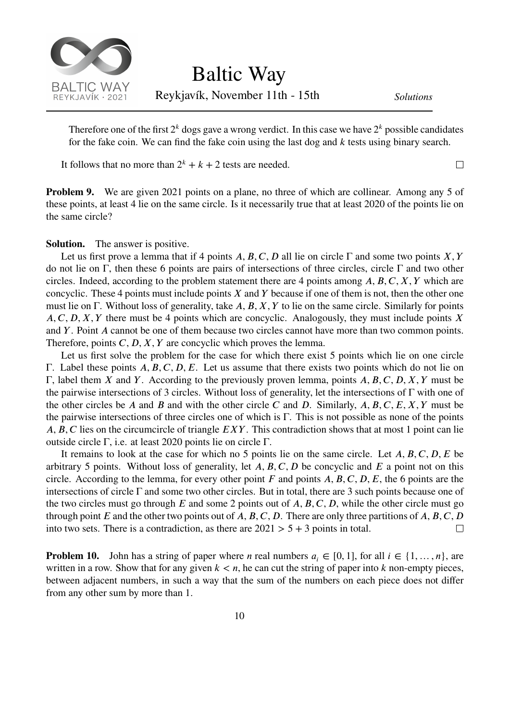

Reykjavík, November 11th - 15th *Solutions*

Therefore one of the first  $2^k$  dogs gave a wrong verdict. In this case we have  $2^k$  possible candidates for the fake coin. We can find the fake coin using the last dog and  $k$  tests using binary search.

It follows that no more than  $2^k + k + 2$  tests are needed.

 $\Box$ 

**Problem 9.** We are given 2021 points on a plane, no three of which are collinear. Among any 5 of these points, at least 4 lie on the same circle. Is it necessarily true that at least 2020 of the points lie on the same circle?

**Solution.** The answer is positive.

Let us first prove a lemma that if 4 points *A*, *B*, *C*, *D* all lie on circle  $\Gamma$  and some two points *X*, *Y* do not lie on Γ, then these 6 points are pairs of intersections of three circles, circle Γ and two other circles. Indeed, according to the problem statement there are 4 points among  $A, B, C, X, Y$  which are concyclic. These 4 points must include points  $X$  and  $Y$  because if one of them is not, then the other one must lie on Γ. Without loss of generality, take A, B, X, Y to lie on the same circle. Similarly for points  $A, C, D, X, Y$  there must be 4 points which are concyclic. Analogously, they must include points X and  $Y$ . Point  $A$  cannot be one of them because two circles cannot have more than two common points. Therefore, points  $C, D, X, Y$  are concyclic which proves the lemma.

Let us first solve the problem for the case for which there exist 5 points which lie on one circle Γ. Label these points *A*, *B*, *C*, *D*, *E*. Let us assume that there exists two points which do not lie on Γ, label them *X* and *Y*. According to the previously proven lemma, points *A*, *B*, *C*, *D*, *X*, *Y* must be the pairwise intersections of 3 circles. Without loss of generality, let the intersections of Γ with one of the other circles be A and B and with the other circle C and D. Similarly,  $A, B, C, E, X, Y$  must be the pairwise intersections of three circles one of which is Γ. This is not possible as none of the points *A, B, C* lies on the circumcircle of triangle *EXY*. This contradiction shows that at most 1 point can lie outside circle Γ, i.e. at least 2020 points lie on circle Γ.

It remains to look at the case for which no 5 points lie on the same circle. Let  $A, B, C, D, E$  be arbitrary 5 points. Without loss of generality, let  $A, B, C, D$  be concyclic and  $E$  a point not on this circle. According to the lemma, for every other point  $F$  and points  $A, B, C, D, E$ , the 6 points are the intersections of circle Γ and some two other circles. But in total, there are 3 such points because one of the two circles must go through  $E$  and some 2 points out of  $A, B, C, D$ , while the other circle must go through point  $E$  and the other two points out of  $A, B, C, D$ . There are only three partitions of  $A, B, C, D$ into two sets. There is a contradiction, as there are  $2021 > 5 + 3$  points in total.  $\Box$ 

**Problem 10.** John has a string of paper where *n* real numbers  $a_i \in [0, 1]$ , for all  $i \in \{1, ..., n\}$ , are written in a row. Show that for any given  $k < n$ , he can cut the string of paper into k non-empty pieces, between adjacent numbers, in such a way that the sum of the numbers on each piece does not differ from any other sum by more than 1.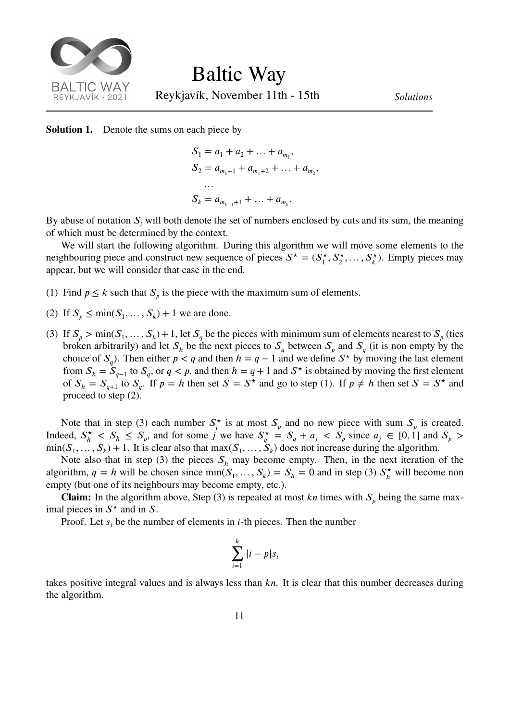

**Solution 1.** Denote the sums on each piece by

$$
S_1 = a_1 + a_2 + \dots + a_{m_1},
$$
  
\n
$$
S_2 = a_{m_1+1} + a_{m_1+2} + \dots + a_{m_2},
$$
  
\n...  
\n
$$
S_k = a_{m_{k-1}+1} + \dots + a_{m_k}.
$$

By abuse of notation  $S_i$  will both denote the set of numbers enclosed by cuts and its sum, the meaning of which must be determined by the context.

We will start the following algorithm. During this algorithm we will move some elements to the neighbouring piece and construct new sequence of pieces  $S^* = (S^*_{\perp})$  $S_1^{\star}, S_2^{\star}, \ldots, S_k^{\star}$ . Empty pieces may appear, but we will consider that case in the end.

- (1) Find  $p \le k$  such that  $S_p$  is the piece with the maximum sum of elements.
- (2) If  $S_p \le \min(S_1, \ldots, S_k) + 1$  we are done.
- (3) If  $S_p > \min(S_1, \ldots, S_k) + 1$ , let  $S_q$  be the pieces with minimum sum of elements nearest to  $S_p$  (ties broken arbitrarily) and let  $S_h$  be the next pieces to  $S_q$  between  $S_p$  and  $S_q$  (it is non empty by the choice of  $S_q$ ). Then either  $p < q$  and then  $h = q - 1$  and we define  $S^*$  by moving the last element from  $S_h = S_{q-1}$  to  $S_q$ , or  $q < p$ , and then  $h = q + 1$  and  $S^*$  is obtained by moving the first element of  $S_h = S_{g+1}$  to  $S_g$ . If  $p = h$  then set  $S = S^*$  and go to step (1). If  $p \neq h$  then set  $S = S^*$  and proceed to step (2).

Note that in step (3) each number  $S_i^*$  $\zeta_i^*$  is at most  $S_p$  and no new piece with sum  $S_p$  is created. Indeed,  $S_h^*$  $\frac{A}{h}$  <  $S_h$   $\leq S_p$ , and for some *j* we have  $S_q^*$  $S_q^* = S_q + a_j \leq S_p$  since  $a_j \in [0, 1]$  and  $S_p >$  $\min(S_1, \ldots, S_k) + 1$ . It is clear also that  $\max(S_1, \ldots, S_k)$  does not increase during the algorithm.

Note also that in step (3) the pieces  $S_h$  may become empty. Then, in the next iteration of the algorithm,  $q = h$  will be chosen since min( $S_1, \ldots, S_k$ ) =  $S_h$  = 0 and in step (3)  $S_h^*$  will become non empty (but one of its neighbours may become empty, etc.).

**Claim:** In the algorithm above, Step (3) is repeated at most  $kn$  times with  $S_n$  being the same maximal pieces in  $S^*$  and in S.

Proof. Let  $s_i$  be the number of elements in *i*-th pieces. Then the number

$$
\sum_{i=1}^k |i - p|s_i
$$

takes positive integral values and is always less than  $kn$ . It is clear that this number decreases during the algorithm.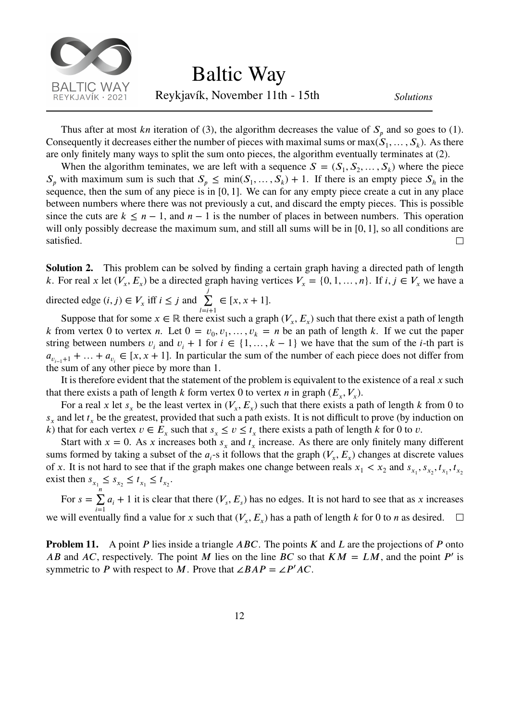

Thus after at most kn iteration of (3), the algorithm decreases the value of  $S_p$  and so goes to (1). Consequently it decreases either the number of pieces with maximal sums or max $(S_1, \ldots, S_k)$ . As there are only finitely many ways to split the sum onto pieces, the algorithm eventually terminates at (2).

When the algorithm teminates, we are left with a sequence  $S = (S_1, S_2, \dots, S_k)$  where the piece  $S_p$  with maximum sum is such that  $S_p \leq \min(S_1, \ldots, S_k) + 1$ . If there is an empty piece  $S_h$  in the sequence, then the sum of any piece is in [0*,* 1]. We can for any empty piece create a cut in any place between numbers where there was not previously a cut, and discard the empty pieces. This is possible since the cuts are  $k \leq n-1$ , and  $n-1$  is the number of places in between numbers. This operation will only possibly decrease the maximum sum, and still all sums will be in [0*,* 1], so all conditions are satisfied.  $\Box$ 

**Solution 2.** This problem can be solved by finding a certain graph having a directed path of length k. For real x let  $(V_x, E_x)$  be a directed graph having vertices  $V_x = \{0, 1, \dots, n\}$ . If  $i, j \in V_x$  we have a

directed edge  $(i, j) \in V_x$  iff  $i \leq j$  and  $\sum_{i=1}^{j}$  $l = i + 1$  $\in [x, x + 1].$ 

Suppose that for some  $x \in \mathbb{R}$  there exist such a graph  $(V_x, E_x)$  such that there exist a path of length k from vertex 0 to vertex n. Let  $0 = v_0, v_1, \dots, v_k = n$  be an path of length k. If we cut the paper string between numbers  $v_i$  and  $v_i + 1$  for  $i \in \{1, ..., k - 1\}$  we have that the sum of the *i*-th part is  $a_{v_{i-1}+1} + \ldots + a_{v_i} \in [x, x+1]$ . In particular the sum of the number of each piece does not differ from the sum of any other piece by more than 1.

It is therefore evident that the statement of the problem is equivalent to the existence of a real  $x$  such that there exists a path of length  $k$  form vertex 0 to vertex  $n$  in graph  $(E_x, V_x)$ .

For a real x let  $s_x$  be the least vertex in  $(V_x, E_x)$  such that there exists a path of length k from 0 to  $s_x$  and let  $t_x$  be the greatest, provided that such a path exists. It is not difficult to prove (by induction on k) that for each vertex  $v \in E_x$  such that  $s_x \le v \le t_x$  there exists a path of length k for 0 to v.

Start with  $x = 0$ . As x increases both  $s_x$  and  $t_x$  increase. As there are only finitely many different sums formed by taking a subset of the  $a_i$ -s it follows that the graph  $(V_x, E_x)$  changes at discrete values of x. It is not hard to see that if the graph makes one change between reals  $x_1 < x_2$  and  $s_{x_1}, s_{x_2}, t_{x_1}, t_{x_2}$ exist then  $s_{x_1} \leq s_{x_2} \leq t_{x_1} \leq t_{x_2}$ .

For  $s = \sum_{n=1}^{n}$  $\sum_{i=1} a_i + 1$  it is clear that there  $(V_s, E_s)$  has no edges. It is not hard to see that as x increases we will eventually find a value for x such that  $(V_x, E_x)$  has a path of length k for 0 to n as desired.  $\Box$ 

**Problem 11.** A point  $P$  lies inside a triangle  $ABC$ . The points  $K$  and  $L$  are the projections of  $P$  onto AB and AC, respectively. The point M lies on the line BC so that  $KM = LM$ , and the point P' is symmetric to P with respect to M. Prove that  $\angle BAP = \angle P'AC$ .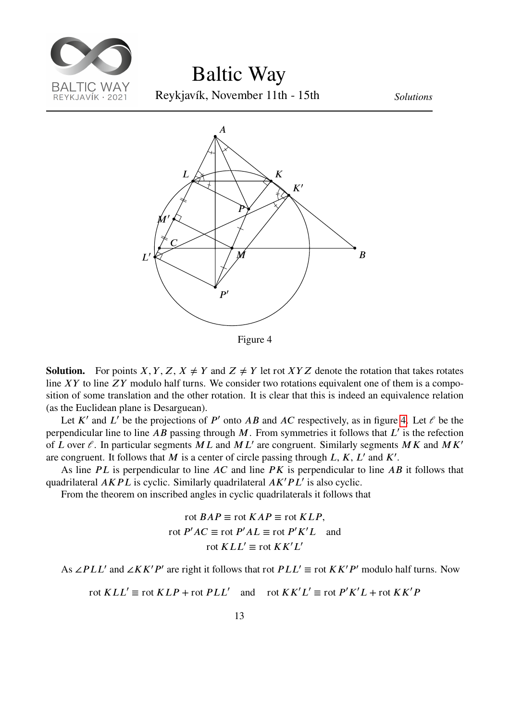<span id="page-12-0"></span>

Baltic Way

Reykjavík, November 11th - 15th *Solutions*



Figure 4

**Solution.** For points *X*, *Y*, *Z*, *X*  $\neq$  *Y* and *Z*  $\neq$  *Y* let rot *XY Z* denote the rotation that takes rotates line  $XY$  to line  $ZY$  modulo half turns. We consider two rotations equivalent one of them is a composition of some translation and the other rotation. It is clear that this is indeed an equivalence relation (as the Euclidean plane is Desarguean).

Let K' and L' be the projections of P' onto AB and AC respectively, as in figure [4](#page-12-0). Let  $\ell$  be the perpendicular line to line AB passing through M. From symmetries it follows that  $L'$  is the refection of L over  $\ell$ . In particular segments ML and ML' are congruent. Similarly segments MK and MK' are congruent. It follows that M is a center of circle passing through  $L, K, L'$  and  $K'$ .

As line  $PL$  is perpendicular to line  $AC$  and line  $PK$  is perpendicular to line  $AB$  it follows that quadrilateral *AKPL* is cyclic. Similarly quadrilateral *AK'PL'* is also cyclic.

From the theorem on inscribed angles in cyclic quadrilaterals it follows that

$$
\text{rot }BAP \equiv \text{rot }KAP \equiv \text{rot }KLP,
$$
  
 
$$
\text{rot }P'AC \equiv \text{rot }P'AL \equiv \text{rot }P'K'L \text{ and}
$$
  
 
$$
\text{rot }KLL' \equiv \text{rot }KK'L'
$$

As ∠PLL' and ∠KK'P' are right it follows that rot  $PLL' \equiv$  rot  $KK'P'$  modulo half turns. Now

$$
rot KLL' \equiv rot KLP + rot PLL' \quad \text{and} \quad rot K K'L' \equiv rot P'K'L + rot K K'P
$$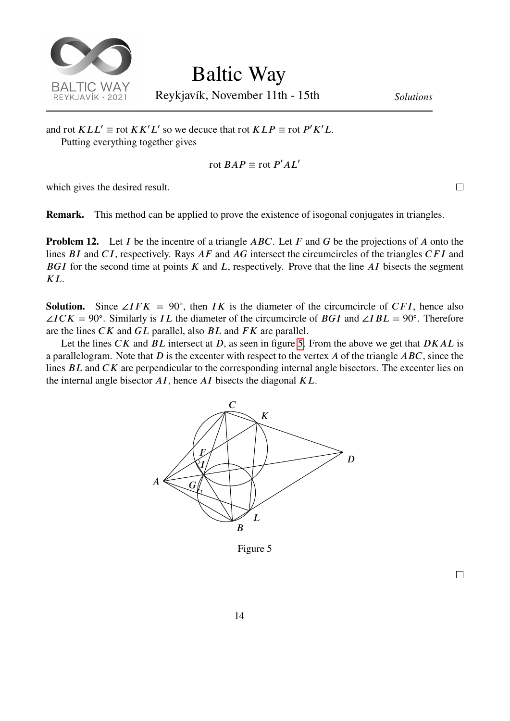

Reykjavík, November 11th - 15th *Solutions*

and rot  $KLL' \equiv \text{rot } K K'L'$  so we decuce that rot  $KLP \equiv \text{rot } P'K'L$ . Putting everything together gives

$$
\operatorname{rot} BAP \equiv \operatorname{rot} P'AL'
$$

which gives the desired result.

**Remark.** This method can be applied to prove the existence of isogonal conjugates in triangles.

**Problem 12.** Let I be the incentre of a triangle  $ABC$ . Let F and G be the projections of A onto the lines  $BI$  and  $CI$ , respectively. Rays  $AF$  and  $AG$  intersect the circumcircles of the triangles  $CFI$  and BGI for the second time at points  $K$  and  $L$ , respectively. Prove that the line  $AI$  bisects the segment  $K_{\perp}$ 

**Solution.** Since ∠*IFK* = 90°, then *IK* is the diameter of the circumcircle of *CFI*, hence also  $\angle ICK = 90^\circ$ . Similarly is IL the diameter of the circumcircle of BGI and  $\angle IBL = 90^\circ$ . Therefore are the lines  $CK$  and  $GL$  parallel, also  $BL$  and  $FK$  are parallel.

<span id="page-13-0"></span>Let the lines  $CK$  and  $BL$  intersect at D, as seen in figure [5.](#page-13-0) From the above we get that  $DKAL$  is a parallelogram. Note that  $D$  is the excenter with respect to the vertex  $A$  of the triangle  $ABC$ , since the lines  $BL$  and  $CK$  are perpendicular to the corresponding internal angle bisectors. The excenter lies on the internal angle bisector  $AI$ , hence  $AI$  bisects the diagonal  $KL$ .



Figure 5

 $\Box$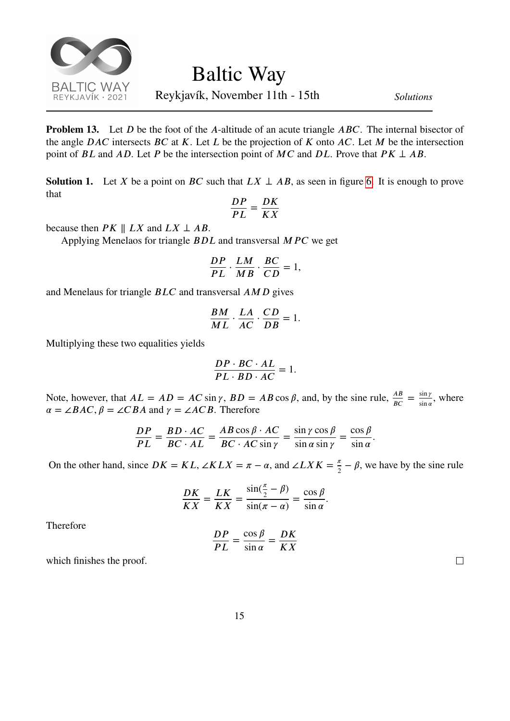

**Problem 13.** Let *D* be the foot of the *A*-altitude of an acute triangle *ABC*. The internal bisector of the angle  $DAC$  intersects  $BC$  at  $K$ . Let  $L$  be the projection of  $K$  onto  $AC$ . Let  $M$  be the intersection point of *BL* and *AD*. Let *P* be the intersection point of *MC* and *DL*. Prove that  $PK \perp AB$ .

**Solution 1.** Let X be a point on BC such that  $LX \perp AB$ , as seen in figure [6](#page-15-0). It is enough to prove that

$$
\frac{DP}{PL} = \frac{DK}{KX}
$$

because then  $PK \parallel LX$  and  $LX \perp AB$ .

Applying Menelaos for triangle *BDL* and transversal *MPC* we get

$$
\frac{DP}{PL} \cdot \frac{LM}{MB} \cdot \frac{BC}{CD} = 1,
$$

and Menelaus for triangle  $BLC$  and transversal  $AMD$  gives

$$
\frac{BM}{ML} \cdot \frac{LA}{AC} \cdot \frac{CD}{DB} = 1.
$$

Multiplying these two equalities yields

$$
\frac{DP \cdot BC \cdot AL}{PL \cdot BD \cdot AC} = 1.
$$

Note, however, that  $AL = AD = AC \sin \gamma$ ,  $BD = AB \cos \beta$ , and, by the sine rule,  $\frac{AB}{BC} = \frac{\sin \gamma}{\sin a}$  $\frac{\sin \gamma}{\sin \alpha}$ , where  $\alpha = \angle BAC$ ,  $\beta = \angle CBA$  and  $\gamma = \angle ACB$ . Therefore

$$
\frac{DP}{PL} = \frac{BD \cdot AC}{BC \cdot AL} = \frac{AB \cos \beta \cdot AC}{BC \cdot AC \sin \gamma} = \frac{\sin \gamma \cos \beta}{\sin \alpha \sin \gamma} = \frac{\cos \beta}{\sin \alpha}.
$$

On the other hand, since  $DK = KL$ ,  $\angle K LX = \pi - \alpha$ , and  $\angle LXK = \frac{\pi}{2}$  $\frac{\pi}{2} - \beta$ , we have by the sine rule

$$
\frac{DK}{KX} = \frac{LK}{KX} = \frac{\sin(\frac{\pi}{2} - \beta)}{\sin(\pi - \alpha)} = \frac{\cos\beta}{\sin\alpha}.
$$

Therefore

$$
\frac{DP}{PL} = \frac{\cos \beta}{\sin \alpha} = \frac{DK}{KX}
$$

which finishes the proof.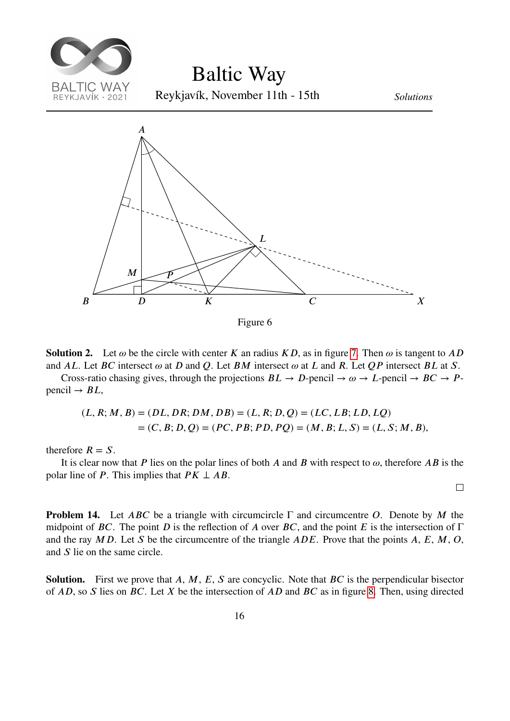<span id="page-15-0"></span>

Figure 6

**Solution 2.** Let  $\omega$  be the circle with center K an radius KD, as in figure [7](#page-16-0). Then  $\omega$  is tangent to AD and AL. Let BC intersect  $\omega$  at D and Q. Let BM intersect  $\omega$  at L and R. Let QP intersect BL at S.

Cross-ratio chasing gives, through the projections  $BL \to D$ -pencil  $\to \omega \to L$ -pencil  $\to BC \to P$ pencil  $\rightarrow BL$ ,

$$
(L, R; M, B) = (DL, DR; DM, DB) = (L, R; D, Q) = (LC, LB; LD, LQ)
$$
  
= (C, B; D, Q) = (PC, PB; PD, PQ) = (M, B; L, S) = (L, S; M, B),

therefore  $R = S$ .

It is clear now that P lies on the polar lines of both A and B with respect to  $\omega$ , therefore AB is the polar line of *P*. This implies that  $PK \perp AB$ .

 $\Box$ 

**Problem 14.** Let  $ABC$  be a triangle with circumcircle  $\Gamma$  and circumcentre O. Denote by M the midpoint of BC. The point D is the reflection of A over BC, and the point E is the intersection of  $\Gamma$ and the ray  $MD$ . Let S be the circumcentre of the triangle  $ADE$ . Prove that the points A, E, M, O, and  $S$  lie on the same circle.

**Solution.** First we prove that  $A, M, E, S$  are concyclic. Note that  $BC$  is the perpendicular bisector of  $AD$ , so  $S$  lies on  $BC$ . Let  $X$  be the intersection of  $AD$  and  $BC$  as in figure [8](#page-17-0). Then, using directed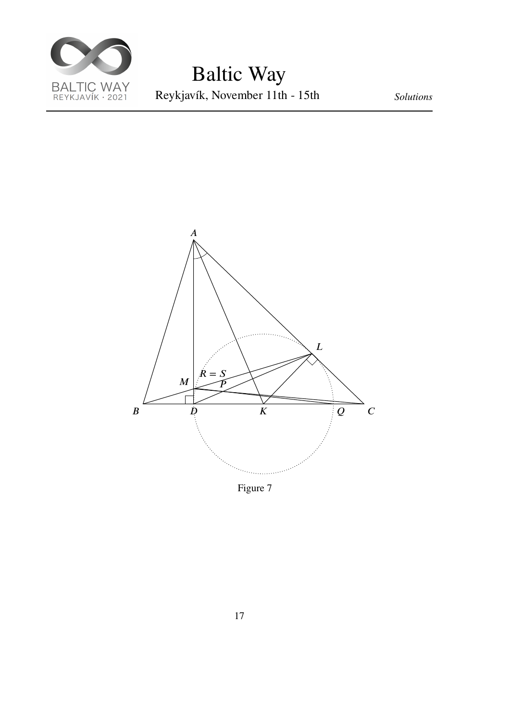

<span id="page-16-0"></span>

Figure 7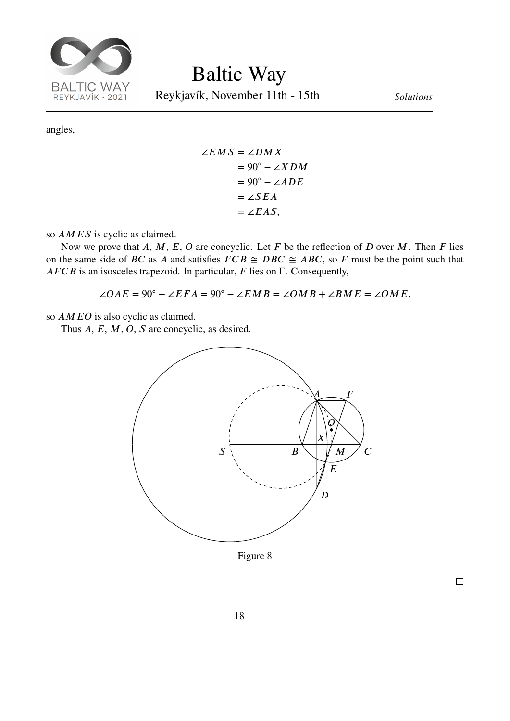

Reykjavík, November 11th - 15th *Solutions*

angles,

$$
\angle EMS = \angle DMX
$$
  
= 90<sup>°</sup> - \angle XDM  
= 90<sup>°</sup> - \angle ADE  
= \angle SEA  
= \angle EAS,

so  $AMES$  is cyclic as claimed.

Now we prove that  $A, M, E, O$  are concyclic. Let  $F$  be the reflection of  $D$  over  $M$ . Then  $F$  lies on the same side of *BC* as *A* and satisfies  $FCB \cong DBC \cong ABC$ , so *F* must be the point such that  $AFCB$  is an isosceles trapezoid. In particular,  $F$  lies on  $\Gamma$ . Consequently,

 $\angle OAE = 90^\circ - \angle EFA = 90^\circ - \angle EMB = \angle OMB + \angle BME = \angle OME,$ 

so  $AMEO$  is also cyclic as claimed.

<span id="page-17-0"></span>Thus  $A, E, M, O, S$  are concyclic, as desired.

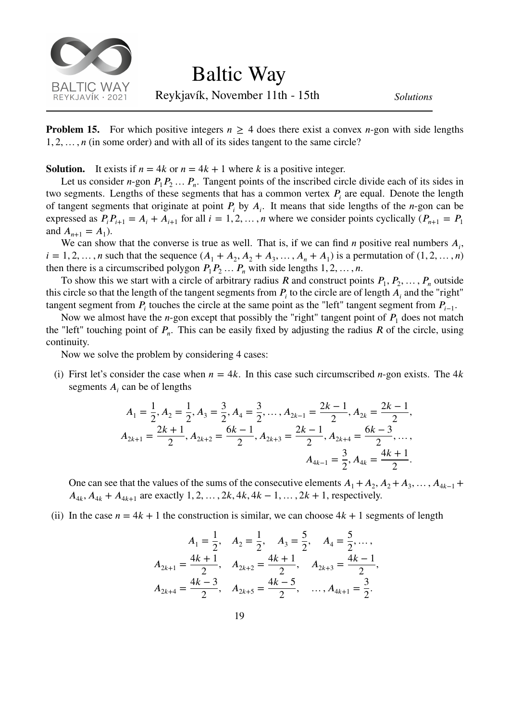

Reykjavík, November 11th - 15th *Solutions*

**Problem 15.** For which positive integers  $n \geq 4$  does there exist a convex *n*-gon with side lengths 1*,* 2*,*… *,*  (in some order) and with all of its sides tangent to the same circle?

**Solution.** It exists if  $n = 4k$  or  $n = 4k + 1$  where k is a positive integer.

Let us consider *n*-gon  $P_1 P_2 ... P_n$ . Tangent points of the inscribed circle divide each of its sides in two segments. Lengths of these segments that has a common vertex  $P_i$  are equal. Denote the length of tangent segments that originate at point  $P_i$  by  $A_i$ . It means that side lengths of the *n*-gon can be expressed as  $P_i P_{i+1} = A_i + A_{i+1}$  for all  $i = 1, 2, ..., n$  where we consider points cyclically  $(P_{n+1} = P_1)$ and  $A_{n+1} = A_1$ ).

We can show that the converse is true as well. That is, if we can find  $n$  positive real numbers  $A_i$ ,  $i = 1, 2, ..., n$  such that the sequence  $(A_1 + A_2, A_2 + A_3, ..., A_n + A_1)$  is a permutation of  $(1, 2, ..., n)$ then there is a circumscribed polygon  $P_1P_2...P_n$  with side lengths 1, 2, ..., *n*.

To show this we start with a circle of arbitrary radius R and construct points  $P_1, P_2, \ldots, P_n$  outside this circle so that the length of the tangent segments from  $P_i$  to the circle are of length  $A_i$  and the "right" tangent segment from  $P_i$  touches the circle at the same point as the "left" tangent segment from  $P_{i-1}$ .

Now we almost have the *n*-gon except that possibly the "right" tangent point of  $P_1$  does not match the "left" touching point of  $P_n$ . This can be easily fixed by adjusting the radius R of the circle, using continuity.

Now we solve the problem by considering 4 cases:

(i) First let's consider the case when  $n = 4k$ . In this case such circumscribed *n*-gon exists. The 4k segments  $A_i$  can be of lengths

$$
A_1 = \frac{1}{2}, A_2 = \frac{1}{2}, A_3 = \frac{3}{2}, A_4 = \frac{3}{2}, \dots, A_{2k-1} = \frac{2k-1}{2}, A_{2k} = \frac{2k-1}{2},
$$
  

$$
A_{2k+1} = \frac{2k+1}{2}, A_{2k+2} = \frac{6k-1}{2}, A_{2k+3} = \frac{2k-1}{2}, A_{2k+4} = \frac{6k-3}{2}, \dots,
$$
  

$$
A_{4k-1} = \frac{3}{2}, A_{4k} = \frac{4k+1}{2}.
$$

One can see that the values of the sums of the consecutive elements  $A_1 + A_2, A_2 + A_3, \ldots, A_{4k-1}$  $A_{4k}$ ,  $A_{4k} + A_{4k+1}$  are exactly 1, 2, …, 2k, 4k, 4k – 1, …, 2k + 1, respectively.

(ii) In the case  $n = 4k + 1$  the construction is similar, we can choose  $4k + 1$  segments of length

$$
A_1 = \frac{1}{2}, \quad A_2 = \frac{1}{2}, \quad A_3 = \frac{5}{2}, \quad A_4 = \frac{5}{2}, \dots,
$$
  

$$
A_{2k+1} = \frac{4k+1}{2}, \quad A_{2k+2} = \frac{4k+1}{2}, \quad A_{2k+3} = \frac{4k-1}{2},
$$
  

$$
A_{2k+4} = \frac{4k-3}{2}, \quad A_{2k+5} = \frac{4k-5}{2}, \quad \dots, A_{4k+1} = \frac{3}{2}.
$$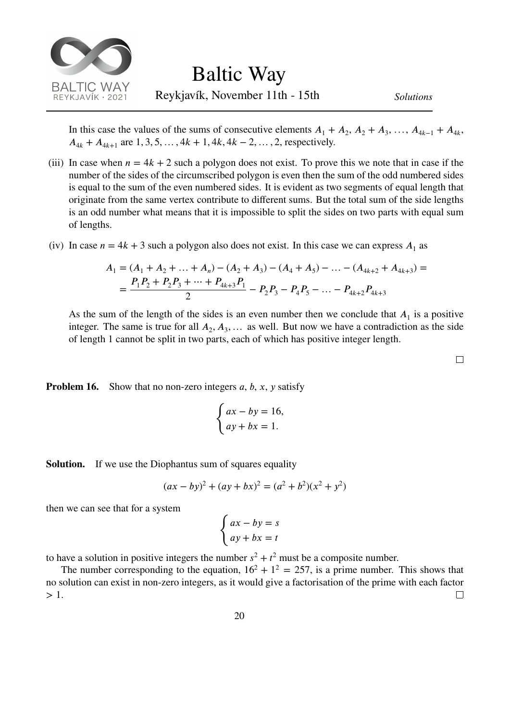

In this case the values of the sums of consecutive elements  $A_1 + A_2$ ,  $A_2 + A_3$ , ...,  $A_{4k-1} + A_{4k}$ ,  $A_{4k} + A_{4k+1}$  are 1, 3, 5, …, 4k + 1, 4k, 4k – 2, …, 2, respectively.

- (iii) In case when  $n = 4k + 2$  such a polygon does not exist. To prove this we note that in case if the number of the sides of the circumscribed polygon is even then the sum of the odd numbered sides is equal to the sum of the even numbered sides. It is evident as two segments of equal length that originate from the same vertex contribute to different sums. But the total sum of the side lengths is an odd number what means that it is impossible to split the sides on two parts with equal sum of lengths.
- (iv) In case  $n = 4k + 3$  such a polygon also does not exist. In this case we can express  $A_1$  as

$$
A_1 = (A_1 + A_2 + ... + A_n) - (A_2 + A_3) - (A_4 + A_5) - ... - (A_{4k+2} + A_{4k+3}) =
$$
  
=  $\frac{P_1 P_2 + P_2 P_3 + ... + P_{4k+3} P_1}{2} - P_2 P_3 - P_4 P_5 - ... - P_{4k+2} P_{4k+3}$ 

As the sum of the length of the sides is an even number then we conclude that  $A_1$  is a positive integer. The same is true for all  $A_2, A_3, \ldots$  as well. But now we have a contradiction as the side of length 1 cannot be split in two parts, each of which has positive integer length.

 $\Box$ 

**Problem 16.** Show that no non-zero integers  $a, b, x, y$  satisfy

$$
\begin{cases} ax - by = 16, \\ ay + bx = 1. \end{cases}
$$

**Solution.** If we use the Diophantus sum of squares equality

$$
(ax - by)^2 + (ay + bx)^2 = (a^2 + b^2)(x^2 + y^2)
$$

then we can see that for a system

$$
\begin{cases} ax - by = s \\ ay + bx = t \end{cases}
$$

to have a solution in positive integers the number  $s^2 + t^2$  must be a composite number.

The number corresponding to the equation,  $16^2 + 1^2 = 257$ , is a prime number. This shows that no solution can exist in non-zero integers, as it would give a factorisation of the prime with each factor *>* 1.  $\Box$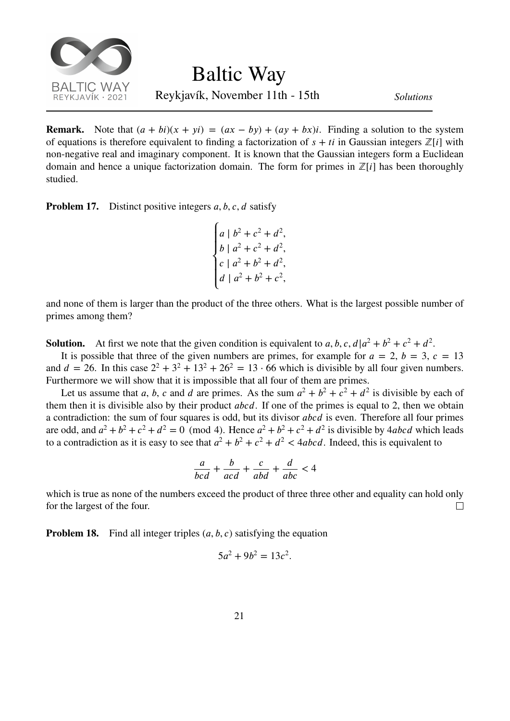

Reykjavík, November 11th - 15th *Solutions*

**Remark.** Note that  $(a + bi)(x + yi) = (ax - by) + (ay + bx)i$ . Finding a solution to the system of equations is therefore equivalent to finding a factorization of  $s + ti$  in Gaussian integers  $\mathbb{Z}[i]$  with non-negative real and imaginary component. It is known that the Gaussian integers form a Euclidean domain and hence a unique factorization domain. The form for primes in  $\mathbb{Z}[i]$  has been thoroughly studied.

**Problem 17.** Distinct positive integers *a*, *b*, *c*, *d* satisfy

 $\overline{a}$  $\overline{a}$  $\overline{ }$ ⎨  $\overline{a}$  $\overline{a}$  $\overline{a}$  $a \mid b^2 + c^2 + d^2$ ,  $b \mid a^2 + c^2 + d^2$ ,  $c \mid a^2 + b^2 + d^2$ ,  $d | a^2 + b^2 + c^2,$ 

and none of them is larger than the product of the three others. What is the largest possible number of primes among them?

**Solution.** At first we note that the given condition is equivalent to a, b, c,  $d|a^2 + b^2 + c^2 + d^2$ .

It is possible that three of the given numbers are primes, for example for  $a = 2$ ,  $b = 3$ ,  $c = 13$ and  $d = 26$ . In this case  $2^2 + 3^2 + 13^2 + 26^2 = 13 \cdot 66$  which is divisible by all four given numbers. Furthermore we will show that it is impossible that all four of them are primes.

Let us assume that a, b, c and d are primes. As the sum  $a^2 + b^2 + c^2 + d^2$  is divisible by each of them then it is divisible also by their product  $abcd$ . If one of the primes is equal to 2, then we obtain a contradiction: the sum of four squares is odd, but its divisor *abcd* is even. Therefore all four primes are odd, and  $a^2 + b^2 + c^2 + d^2 = 0$  (mod 4). Hence  $a^2 + b^2 + c^2 + d^2$  is divisible by 4abcd which leads to a contradiction as it is easy to see that  $a^2 + b^2 + c^2 + d^2 < 4abcd$ . Indeed, this is equivalent to

$$
\frac{a}{bcd} + \frac{b}{acd} + \frac{c}{abd} + \frac{d}{abc} < 4
$$

which is true as none of the numbers exceed the product of three three other and equality can hold only for the largest of the four.  $\Box$ 

**Problem 18.** Find all integer triples  $(a, b, c)$  satisfying the equation

$$
5a^2 + 9b^2 = 13c^2.
$$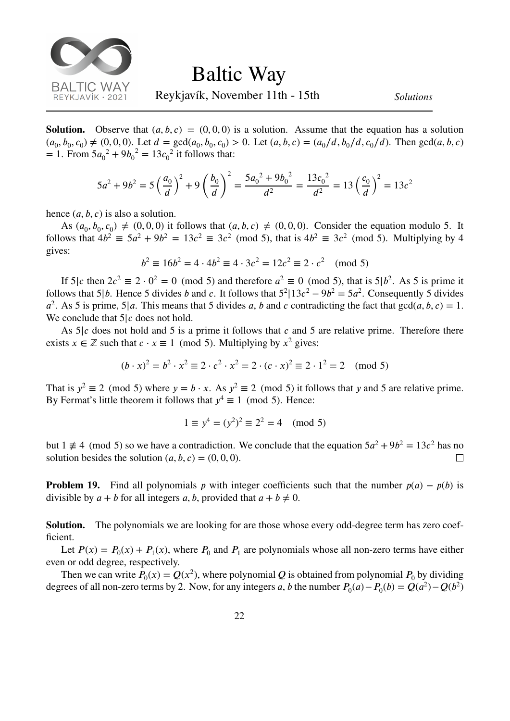

Reykjavík, November 11th - 15th *Solutions*

**Solution.** Observe that  $(a, b, c) = (0, 0, 0)$  is a solution. Assume that the equation has a solution  $(a_0, b_0, c_0) \neq (0, 0, 0)$ . Let  $d = \gcd(a_0, b_0, c_0) > 0$ . Let  $(a, b, c) = (a_0/d, b_0/d, c_0/d)$ . Then  $\gcd(a, b, c)$  $= 1$ . From  $5a_0^2 + 9b_0^2 = 13c_0^2$  it follows that:

$$
5a^2 + 9b^2 = 5\left(\frac{a_0}{d}\right)^2 + 9\left(\frac{b_0}{d}\right)^2 = \frac{5a_0^2 + 9b_0^2}{d^2} = \frac{13c_0^2}{d^2} = 13\left(\frac{c_0}{d}\right)^2 = 13c^2
$$

hence  $(a, b, c)$  is also a solution.

As  $(a_0, b_0, c_0) \neq (0, 0, 0)$  it follows that  $(a, b, c) \neq (0, 0, 0)$ . Consider the equation modulo 5. It follows that  $4b^2 \equiv 5a^2 + 9b^2 = 13c^2 \equiv 3c^2 \pmod{5}$ , that is  $4b^2 \equiv 3c^2 \pmod{5}$ . Multiplying by 4 gives:

$$
b^2 \equiv 16b^2 = 4 \cdot 4b^2 \equiv 4 \cdot 3c^2 = 12c^2 \equiv 2 \cdot c^2 \pmod{5}
$$

If  $5|c$  then  $2c^2 \equiv 2 \cdot 0^2 = 0 \pmod{5}$  and therefore  $a^2 \equiv 0 \pmod{5}$ , that is  $5|b^2$ . As 5 is prime it follows that 5|b. Hence 5 divides b and c. It follows that  $5^2$ |13 $c^2 - 9b^2 = 5a^2$ . Consequently 5 divides  $a^2$ . As 5 is prime, 5|*a*. This means that 5 divides *a*, *b* and *c* contradicting the fact that  $gcd(a, b, c) = 1$ . We conclude that  $5/c$  does not hold.

As  $5/c$  does not hold and 5 is a prime it follows that c and 5 are relative prime. Therefore there exists  $x \in \mathbb{Z}$  such that  $c \cdot x \equiv 1 \pmod{5}$ . Multiplying by  $x^2$  gives:

$$
(b \cdot x)^2 = b^2 \cdot x^2 \equiv 2 \cdot c^2 \cdot x^2 = 2 \cdot (c \cdot x)^2 \equiv 2 \cdot 1^2 = 2 \pmod{5}
$$

That is  $y^2 \equiv 2 \pmod{5}$  where  $y = b \cdot x$ . As  $y^2 \equiv 2 \pmod{5}$  it follows that y and 5 are relative prime. By Fermat's little theorem it follows that  $y^4 \equiv 1 \pmod{5}$ . Hence:

$$
1 \equiv y^4 = (y^2)^2 \equiv 2^2 = 4 \pmod{5}
$$

but  $1 \neq 4 \pmod{5}$  so we have a contradiction. We conclude that the equation  $5a^2 + 9b^2 = 13c^2$  has no solution besides the solution  $(a, b, c) = (0, 0, 0)$ .  $\Box$ 

**Problem 19.** Find all polynomials  $p$  with integer coefficients such that the number  $p(a) - p(b)$  is divisible by  $a + b$  for all integers a, b, provided that  $a + b \neq 0$ .

**Solution.** The polynomials we are looking for are those whose every odd-degree term has zero coefficient.

Let  $P(x) = P_0(x) + P_1(x)$ , where  $P_0$  and  $P_1$  are polynomials whose all non-zero terms have either even or odd degree, respectively.

Then we can write  $P_0(x) = Q(x^2)$ , where polynomial Q is obtained from polynomial  $P_0$  by dividing degrees of all non-zero terms by 2. Now, for any integers a, b the number  $P_0(a) - P_0(b) = Q(a^2) - Q(b^2)$